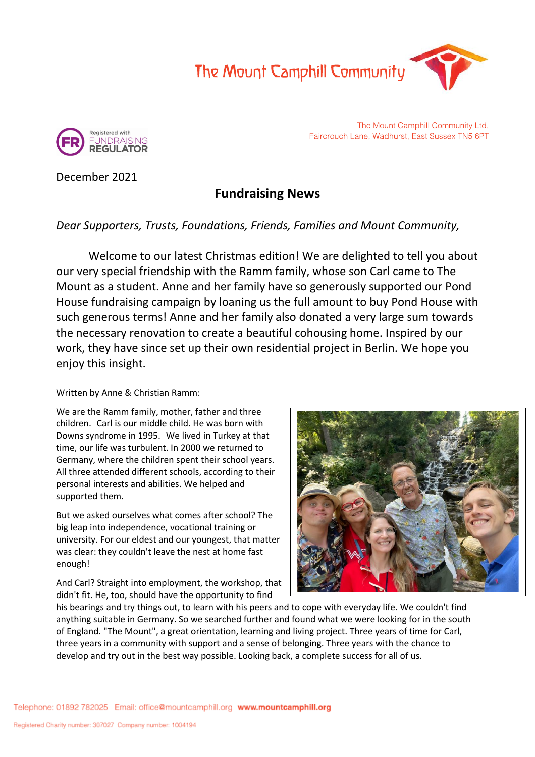



The Mount Camphill Community Ltd, Faircrouch Lane, Wadhurst, East Sussex TN5 6PT

December 2021

# **Fundraising News**

## *Dear Supporters, Trusts, Foundations, Friends, Families and Mount Community,*

Welcome to our latest Christmas edition! We are delighted to tell you about our very special friendship with the Ramm family, whose son Carl came to The Mount as a student. Anne and her family have so generously supported our Pond House fundraising campaign by loaning us the full amount to buy Pond House with such generous terms! Anne and her family also donated a very large sum towards the necessary renovation to create a beautiful cohousing home. Inspired by our work, they have since set up their own residential project in Berlin. We hope you enjoy this insight.

### Written by Anne & Christian Ramm:

We are the Ramm family, mother, father and three children. Carl is our middle child. He was born with Downs syndrome in 1995. We lived in Turkey at that time, our life was turbulent. In 2000 we returned to Germany, where the children spent their school years. All three attended different schools, according to their personal interests and abilities. We helped and supported them.

But we asked ourselves what comes after school? The big leap into independence, vocational training or university. For our eldest and our youngest, that matter was clear: they couldn't leave the nest at home fast enough!

And Carl? Straight into employment, the workshop, that didn't fit. He, too, should have the opportunity to find



his bearings and try things out, to learn with his peers and to cope with everyday life. We couldn't find anything suitable in Germany. So we searched further and found what we were looking for in the south of England. "The Mount", a great orientation, learning and living project. Three years of time for Carl, three years in a community with support and a sense of belonging. Three years with the chance to develop and try out in the best way possible. Looking back, a complete success for all of us.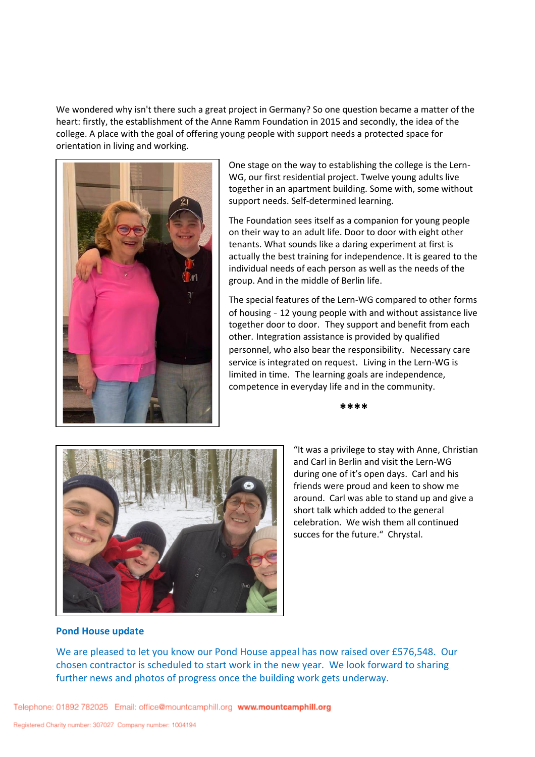We wondered why isn't there such a great project in Germany? So one question became a matter of the heart: firstly, the establishment of the Anne Ramm Foundation in 2015 and secondly, the idea of the college. A place with the goal of offering young people with support needs a protected space for orientation in living and working.



One stage on the way to establishing the college is the Lern-WG, our first residential project. Twelve young adults live together in an apartment building. Some with, some without support needs. Self-determined learning.

The Foundation sees itself as a companion for young people on their way to an adult life. Door to door with eight other tenants. What sounds like a daring experiment at first is actually the best training for independence. It is geared to the individual needs of each person as well as the needs of the group. And in the middle of Berlin life.

The special features of the Lern-WG compared to other forms of housing - 12 young people with and without assistance live together door to door. They support and benefit from each other. Integration assistance is provided by qualified personnel, who also bear the responsibility. Necessary care service is integrated on request. Living in the Lern-WG is limited in time. The learning goals are independence, competence in everyday life and in the community.

**\*\*\*\***



"It was a privilege to stay with Anne, Christian and Carl in Berlin and visit the Lern-WG during one of it's open days. Carl and his friends were proud and keen to show me around. Carl was able to stand up and give a short talk which added to the general celebration. We wish them all continued succes for the future." Chrystal.

#### **Pond House update**

We are pleased to let you know our Pond House appeal has now raised over £576,548. Our chosen contractor is scheduled to start work in the new year. We look forward to sharing further news and photos of progress once the building work gets underway.

Telephone: 01892 782025 Email: office@mountcamphill.org www.mountcamphill.org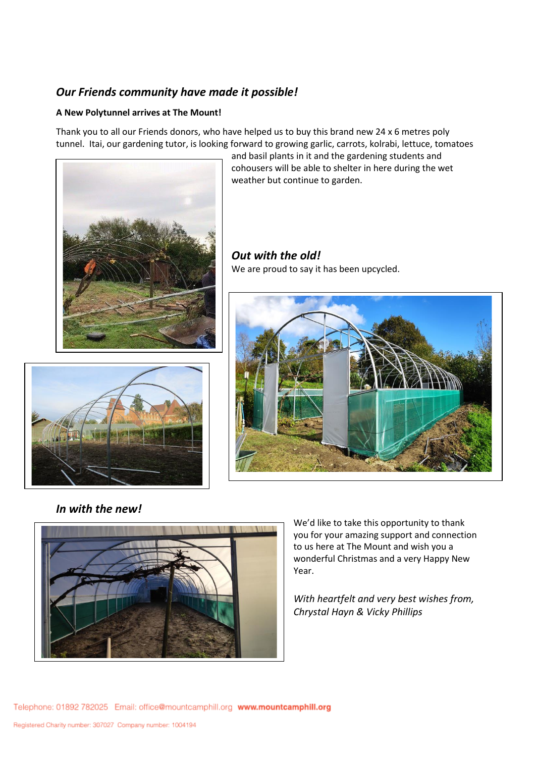### *Our Friends community have made it possible!*

### **A New Polytunnel arrives at The Mount!**

Thank you to all our Friends donors, who have helped us to buy this brand new 24 x 6 metres poly tunnel. Itai, our gardening tutor, is looking forward to growing garlic, carrots, kolrabi, lettuce, tomatoes



and basil plants in it and the gardening students and cohousers will be able to shelter in here during the wet weather but continue to garden.

*Out with the old!* We are proud to say it has been upcycled.





*In with the new!*



We'd like to take this opportunity to thank you for your amazing support and connection to us here at The Mount and wish you a wonderful Christmas and a very Happy New Year.

*With heartfelt and very best wishes from, Chrystal Hayn & Vicky Phillips*